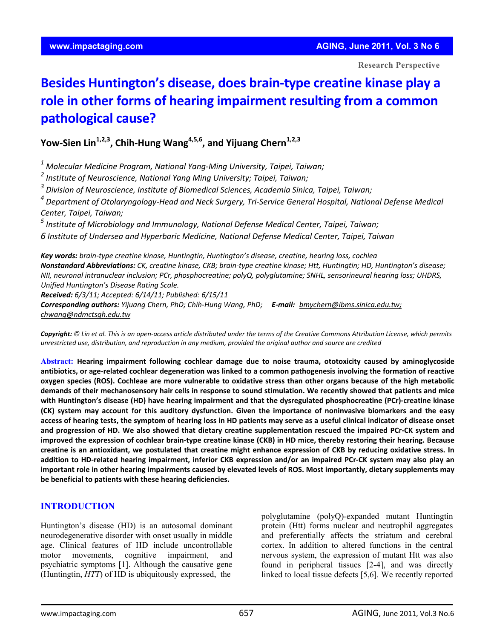**Research Perspective**

# **Besides Huntington's disease, does brain‐type creatine kinase play a role in other forms of hearing impairment resulting from a common pathological cause?**

**Yow-Sien Lin**<sup>1,2,3</sup>, Chih-Hung Wang<sup>4,5,6</sup>, and Yijuang Chern<sup>1,2,3</sup>

*<sup>1</sup> Molecular Medicine Program, National Yang‐Ming University, Taipei, Taiwan;* 

*<sup>2</sup> Institute of Neuroscience, National Yang Ming University; Taipei, Taiwan;* 

*<sup>3</sup> Division of Neuroscience, Institute of Biomedical Sciences, Academia Sinica, Taipei, Taiwan;* 

 $^4$  Department of Otolaryngology-Head and Neck Surgery, Tri-Service General Hospital, National Defense Medical *Center, Taipei, Taiwan;* 

*<sup>5</sup> Institute of Microbiology and Immunology, National Defense Medical Center, Taipei, Taiwan;*

*6 Institute of Undersea and Hyperbaric Medicine, National Defense Medical Center, Taipei, Taiwan*

Nonstandard Abbreviations: CK, creatine kinase, CKB; brain-type creatine kinase; Htt, Huntingtin; HD, Huntington's disease;<br>Nonstandard Abbreviations: CK, creatine kinase, CKB; brain-type creatine kinase; Htt, Huntingtin; *Key words: brain‐type creatine kinase, Huntingtin, Huntington's disease, creatine, hearing loss, cochlea NII, neuronal intranuclear inclusion; PCr, phosphocreatine; polyQ, polyglutamine; SNHL, sensorineural hearing loss; UHDRS, Unified Huntington's Disease Rating Scale. Received: 6/3/11; Accepted: 6/14/11; Published: 6/15/11*

*Corresponding authors: Yijuang Chern, PhD; Chih‐Hung Wang, PhD; E‐mail: bmychern@ibms.sinica.edu.tw; chwang@ndmctsgh.edu.tw*

Copyright: © Lin et al. This is an open-access article distributed under the terms of the Creative Commons Attribution License, which permits unrestricted use, distribution, and reproduction in any medium, provided the original author and source are credited

**Abstract: Hearing impairment following cochlear damage due to noise trauma, ototoxicity caused by aminoglycoside** antibiotics, or age-related cochlear degeneration was linked to a common pathogenesis involving the formation of reactive oxygen species (ROS). Cochleae are more vulnerable to oxidative stress than other organs because of the high metabolic demands of their mechanosensory hair cells in response to sound stimulation. We recently showed that patients and mice with Huntington's disease (HD) have hearing impairment and that the dysregulated phosphocreatine (PCr)-creatine kinase (CK) system may account for this auditory dysfunction. Given the importance of noninvasive biomarkers and the easy access of hearing tests, the symptom of hearing loss in HD patients may serve as a useful clinical indicator of disease onset and progression of HD. We also showed that dietary creatine supplementation rescued the impaired PCr-CK system and improved the expression of cochlear brain-type creatine kinase (CKB) in HD mice, thereby restoring their hearing. Because creatine is an antioxidant, we postulated that creatine might enhance expression of CKB by reducing oxidative stress. In addition to HD-related hearing impairment, inferior CKB expression and/or an impaired PCr-CK system may also play an important role in other hearing impairments caused by elevated levels of ROS. Most importantly, dietary supplements may **be beneficial to patients with these hearing deficiencies.**

## **INTRODUCTION**

Huntington's disease (HD) is an autosomal dominant neurodegenerative disorder with onset usually in middle age. Clinical features of HD include uncontrollable motor movements, cognitive impairment, and psychiatric symptoms [1]. Although the causative gene (Huntingtin, *HTT*) of HD is ubiquitously expressed, the

polyglutamine (polyQ)-expanded mutant Huntingtin protein (Htt) forms nuclear and neutrophil aggregates and preferentially affects the striatum and cerebral cortex. In addition to altered functions in the central nervous system, the expression of mutant Htt was also found in peripheral tissues [2-4], and was directly linked to local tissue defects [5,6]. We recently reported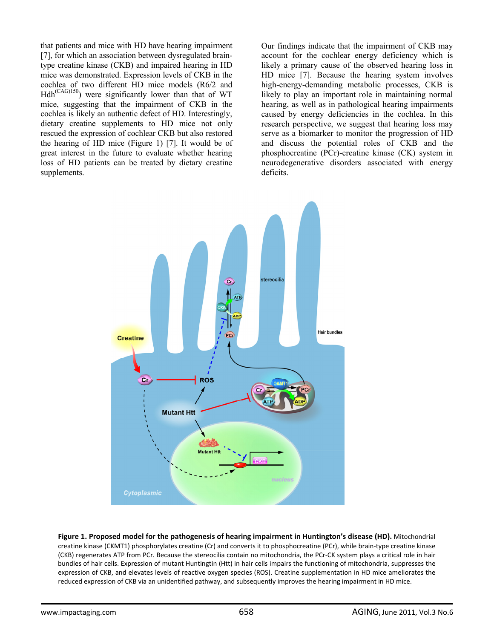that patients and mice with HD have hearing impairment [7], for which an association between dysregulated braintype creatine kinase (CKB) and impaired hearing in HD mice was demonstrated. Expression levels of CKB in the cochlea of two different HD mice models (R6/2 and  $Hdh^{(CAG)150}$  were significantly lower than that of WT mice, suggesting that the impairment of CKB in the cochlea is likely an authentic defect of HD. Interestingly, dietary creatine supplements to HD mice not only rescued the expression of cochlear CKB but also restored the hearing of HD mice (Figure 1) [7]. It would be of great interest in the future to evaluate whether hearing loss of HD patients can be treated by dietary creatine supplements.

Our findings indicate that the impairment of CKB may account for the cochlear energy deficiency which is likely a primary cause of the observed hearing loss in HD mice [7]. Because the hearing system involves high-energy-demanding metabolic processes, CKB is likely to play an important role in maintaining normal hearing, as well as in pathological hearing impairments caused by energy deficiencies in the cochlea. In this research perspective, we suggest that hearing loss may serve as a biomarker to monitor the progression of HD and discuss the potential roles of CKB and the phosphocreatine (PCr)-creatine kinase (CK) system in neurodegenerative disorders associated with energy deficits.



**Figure 1. Proposed model for the pathogenesis of hearing impairment in Huntington's disease (HD).** Mitochondrial creatine kinase (CKMT1) phosphorylates creatine (Cr) and converts it to phosphocreatine (PCr), while brain‐type creatine kinase (CKB) regenerates ATP from PCr. Because the stereocilia contain no mitochondria, the PCr‐CK system plays a critical role in hair bundles of hair cells. Expression of mutant Huntingtin (Htt) in hair cells impairs the functioning of mitochondria, suppresses the expression of CKB, and elevates levels of reactive oxygen species (ROS). Creatine supplementation in HD mice ameliorates the reduced expression of CKB via an unidentified pathway, and subsequently improves the hearing impairment in HD mice.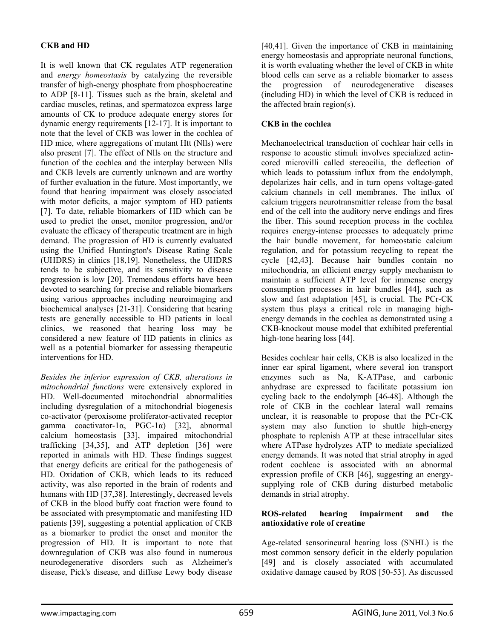## **CKB and HD**

It is well known that CK regulates ATP regeneration and *energy homeostasis* by catalyzing the reversible transfer of high-energy phosphate from phosphocreatine to ADP [8-11]. Tissues such as the brain, skeletal and cardiac muscles, retinas, and spermatozoa express large amounts of CK to produce adequate energy stores for dynamic energy requirements [12-17]. It is important to note that the level of CKB was lower in the cochlea of HD mice, where aggregations of mutant Htt (Nlls) were also present [7]. The effect of Nlls on the structure and function of the cochlea and the interplay between Nlls and CKB levels are currently unknown and are worthy of further evaluation in the future. Most importantly, we found that hearing impairment was closely associated with motor deficits, a major symptom of HD patients [7]. To date, reliable biomarkers of HD which can be used to predict the onset, monitor progression, and/or evaluate the efficacy of therapeutic treatment are in high demand. The progression of HD is currently evaluated using the Unified Huntington's Disease Rating Scale (UHDRS) in clinics [18,19]. Nonetheless, the UHDRS tends to be subjective, and its sensitivity to disease progression is low [20]. Tremendous efforts have been devoted to searching for precise and reliable biomarkers using various approaches including neuroimaging and biochemical analyses [21-31]. Considering that hearing tests are generally accessible to HD patients in local clinics, we reasoned that hearing loss may be considered a new feature of HD patients in clinics as well as a potential biomarker for assessing therapeutic interventions for HD.

*Besides the inferior expression of CKB, alterations in mitochondrial functions* were extensively explored in HD. Well-documented mitochondrial abnormalities including dysregulation of a mitochondrial biogenesis co-activator (peroxisome proliferator-activated receptor gamma coactivator-1α, PGC-1α) [32], abnormal calcium homeostasis [33], impaired mitochondrial trafficking [34,35], and ATP depletion [36] were reported in animals with HD. These findings suggest that energy deficits are critical for the pathogenesis of HD. Oxidation of CKB, which leads to its reduced activity, was also reported in the brain of rodents and humans with HD [37,38]. Interestingly, decreased levels of CKB in the blood buffy coat fraction were found to be associated with presymptomatic and manifesting HD patients [39], suggesting a potential application of CKB as a biomarker to predict the onset and monitor the progression of HD. It is important to note that downregulation of CKB was also found in numerous neurodegenerative disorders such as Alzheimer's disease, Pick's disease, and diffuse Lewy body disease

[40,41]. Given the importance of CKB in maintaining energy homeostasis and appropriate neuronal functions, it is worth evaluating whether the level of CKB in white blood cells can serve as a reliable biomarker to assess the progression of neurodegenerative diseases (including HD) in which the level of CKB is reduced in the affected brain region(s).

## **CKB in the cochlea**

Mechanoelectrical transduction of cochlear hair cells in response to acoustic stimuli involves specialized actincored microvilli called stereocilia, the deflection of which leads to potassium influx from the endolymph, depolarizes hair cells, and in turn opens voltage-gated calcium channels in cell membranes. The influx of calcium triggers neurotransmitter release from the basal end of the cell into the auditory nerve endings and fires the fiber. This sound reception process in the cochlea requires energy-intense processes to adequately prime the hair bundle movement, for homeostatic calcium regulation, and for potassium recycling to repeat the cycle [42,43]. Because hair bundles contain no mitochondria, an efficient energy supply mechanism to maintain a sufficient ATP level for immense energy consumption processes in hair bundles [44], such as slow and fast adaptation [45], is crucial. The PCr-CK system thus plays a critical role in managing highenergy demands in the cochlea as demonstrated using a CKB-knockout mouse model that exhibited preferential high-tone hearing loss [44].

Besides cochlear hair cells, CKB is also localized in the inner ear spiral ligament, where several ion transport enzymes such as Na, K-ATPase, and carbonic anhydrase are expressed to facilitate potassium ion cycling back to the endolymph [46-48]. Although the role of CKB in the cochlear lateral wall remains unclear, it is reasonable to propose that the PCr-CK system may also function to shuttle high-energy phosphate to replenish ATP at these intracellular sites where ATPase hydrolyzes ATP to mediate specialized energy demands. It was noted that strial atrophy in aged rodent cochleae is associated with an abnormal expression profile of CKB [46], suggesting an energysupplying role of CKB during disturbed metabolic demands in strial atrophy.

#### **ROS-related hearing impairment and the antioxidative role of creatine**

Age-related sensorineural hearing loss (SNHL) is the most common sensory deficit in the elderly population [49] and is closely associated with accumulated oxidative damage caused by ROS [50-53]. As discussed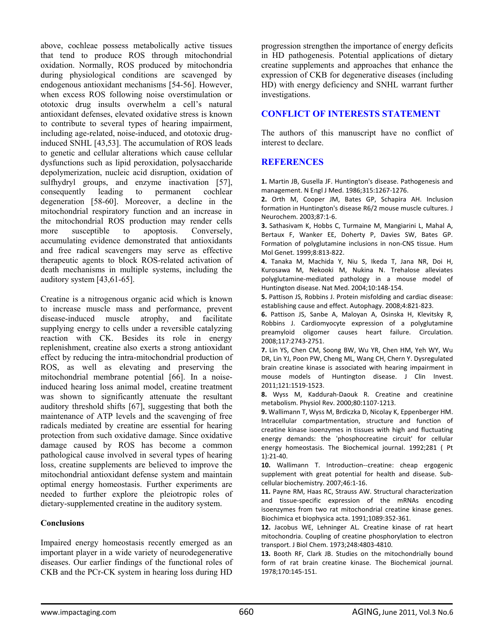above, cochleae possess metabolically active tissues that tend to produce ROS through mitochondrial oxidation. Normally, ROS produced by mitochondria during physiological conditions are scavenged by endogenous antioxidant mechanisms [54-56]. However, when excess ROS following noise overstimulation or ototoxic drug insults overwhelm a cell's natural antioxidant defenses, elevated oxidative stress is known to contribute to several types of hearing impairment, including age-related, noise-induced, and ototoxic druginduced SNHL [43,53]. The accumulation of ROS leads to genetic and cellular alterations which cause cellular dysfunctions such as lipid peroxidation, polysaccharide depolymerization, nucleic acid disruption, oxidation of sulfhydryl groups, and enzyme inactivation [57], consequently leading to permanent cochlear degeneration [58-60]. Moreover, a decline in the mitochondrial respiratory function and an increase in the mitochondrial ROS production may render cells more susceptible to apoptosis. Conversely, accumulating evidence demonstrated that antioxidants and free radical scavengers may serve as effective therapeutic agents to block ROS-related activation of death mechanisms in multiple systems, including the auditory system [43,61-65].

Creatine is a nitrogenous organic acid which is known to increase muscle mass and performance, prevent disease-induced muscle atrophy, and facilitate supplying energy to cells under a reversible catalyzing reaction with CK. Besides its role in energy replenishment, creatine also exerts a strong antioxidant effect by reducing the intra-mitochondrial production of ROS, as well as elevating and preserving the mitochondrial membrane potential [66]. In a noiseinduced hearing loss animal model, creatine treatment was shown to significantly attenuate the resultant auditory threshold shifts [67], suggesting that both the maintenance of ATP levels and the scavenging of free radicals mediated by creatine are essential for hearing protection from such oxidative damage. Since oxidative damage caused by ROS has become a common pathological cause involved in several types of hearing loss, creatine supplements are believed to improve the mitochondrial antioxidant defense system and maintain optimal energy homeostasis. Further experiments are needed to further explore the pleiotropic roles of dietary-supplemented creatine in the auditory system.

#### **Conclusions**

Impaired energy homeostasis recently emerged as an important player in a wide variety of neurodegenerative diseases. Our earlier findings of the functional roles of CKB and the PCr-CK system in hearing loss during HD

progression strengthen the importance of energy deficits in HD pathogenesis. Potential applications of dietary creatine supplements and approaches that enhance the expression of CKB for degenerative diseases (including HD) with energy deficiency and SNHL warrant further investigations.

# **CONFLICT OF INTERESTS STATEMENT**

The authors of this manuscript have no conflict of interest to declare.

# **REFERENCES**

**1.** Martin JB, Gusella JF. Huntington's disease. Pathogenesis and management. N Engl J Med. 1986;315:1267‐1276.

**2.** Orth M, Cooper JM, Bates GP, Schapira AH. Inclusion formation in Huntington's disease R6/2 mouse muscle cultures. J Neurochem. 2003;87:1‐6.

**3.** Sathasivam K, Hobbs C, Turmaine M, Mangiarini L, Mahal A, Bertaux F, Wanker EE, Doherty P, Davies SW, Bates GP. Formation of polyglutamine inclusions in non‐CNS tissue. Hum Mol Genet. 1999;8:813‐822.

**4.** Tanaka M, Machida Y, Niu S, Ikeda T, Jana NR, Doi H, Kurosawa M, Nekooki M, Nukina N. Trehalose alleviates polyglutamine‐mediated pathology in a mouse model of Huntington disease. Nat Med. 2004;10:148‐154.

**5.** Pattison JS, Robbins J. Protein misfolding and cardiac disease: establishing cause and effect. Autophagy. 2008;4:821‐823.

**6.** Pattison JS, Sanbe A, Maloyan A, Osinska H, Klevitsky R, Robbins J. Cardiomyocyte expression of a polyglutamine preamyloid oligomer causes heart failure. Circulation. 2008;117:2743‐2751.

**7.** Lin YS, Chen CM, Soong BW, Wu YR, Chen HM, Yeh WY, Wu DR, Lin YJ, Poon PW, Cheng ML, Wang CH, Chern Y. Dysregulated brain creatine kinase is associated with hearing impairment in mouse models of Huntington disease. J Clin Invest. 2011;121:1519‐1523.

**8.** Wyss M, Kaddurah‐Daouk R. Creatine and creatinine metabolism. Physiol Rev. 2000;80:1107‐1213.

**9.** Wallimann T, Wyss M, Brdiczka D, Nicolay K, Eppenberger HM. Intracellular compartmentation, structure and function of creatine kinase isoenzymes in tissues with high and fluctuating energy demands: the 'phosphocreatine circuit' for cellular energy homeostasis. The Biochemical journal. 1992;281 ( Pt 1):21‐40.

**10.** Wallimann T. Introduction‐‐creatine: cheap ergogenic supplement with great potential for health and disease. Sub‐ cellular biochemistry. 2007;46:1‐16.

**11.** Payne RM, Haas RC, Strauss AW. Structural characterization and tissue‐specific expression of the mRNAs encoding isoenzymes from two rat mitochondrial creatine kinase genes. Biochimica et biophysica acta. 1991;1089:352‐361.

**12.** Jacobus WE, Lehninger AL. Creatine kinase of rat heart mitochondria. Coupling of creatine phosphorylation to electron transport. J Biol Chem. 1973;248:4803‐4810.

**13.** Booth RF, Clark JB. Studies on the mitochondrially bound form of rat brain creatine kinase. The Biochemical journal. 1978;170:145‐151.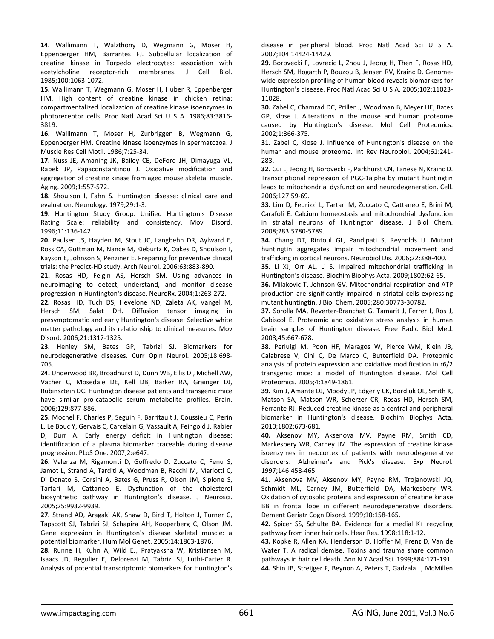**14.** Wallimann T, Walzthony D, Wegmann G, Moser H, Eppenberger HM, Barrantes FJ. Subcellular localization of creatine kinase in Torpedo electrocytes: association with acetylcholine receptor‐rich membranes. J Cell Biol. 1985;100:1063‐1072.

**15.** Wallimann T, Wegmann G, Moser H, Huber R, Eppenberger HM. High content of creatine kinase in chicken retina: compartmentalized localization of creatine kinase isoenzymes in photoreceptor cells. Proc Natl Acad Sci U S A. 1986;83:3816‐ 3819.

**16.** Wallimann T, Moser H, Zurbriggen B, Wegmann G, Eppenberger HM. Creatine kinase isoenzymes in spermatozoa. J Muscle Res Cell Motil. 1986;7:25‐34.

**17.** Nuss JE, Amaning JK, Bailey CE, DeFord JH, Dimayuga VL, Rabek JP, Papaconstantinou J. Oxidative modification and aggregation of creatine kinase from aged mouse skeletal muscle. Aging. 2009;1:557‐572.

**18.** Shoulson I, Fahn S. Huntington disease: clinical care and evaluation. Neurology. 1979;29:1‐3.

**19.** Huntington Study Group. Unified Huntington's Disease Rating Scale: reliability and consistency. Mov Disord. 1996;11:136‐142.

**20.** Paulsen JS, Hayden M, Stout JC, Langbehn DR, Aylward E, Ross CA, Guttman M, Nance M, Kieburtz K, Oakes D, Shoulson I, Kayson E, Johnson S, Penziner E. Preparing for preventive clinical trials: the Predict‐HD study. Arch Neurol. 2006;63:883‐890.

**21.** Rosas HD, Feigin AS, Hersch SM. Using advances in neuroimaging to detect, understand, and monitor disease progression in Huntington's disease. NeuroRx. 2004;1:263‐272.

**22.** Rosas HD, Tuch DS, Hevelone ND, Zaleta AK, Vangel M, Hersch SM, Salat DH. Diffusion tensor imaging in presymptomatic and early Huntington's disease: Selective white matter pathology and its relationship to clinical measures. Mov Disord. 2006;21:1317‐1325.

**23.** Henley SM, Bates GP, Tabrizi SJ. Biomarkers for neurodegenerative diseases. Curr Opin Neurol. 2005;18:698‐ 705.

**24.** Underwood BR, Broadhurst D, Dunn WB, Ellis DI, Michell AW, Vacher C, Mosedale DE, Kell DB, Barker RA, Grainger DJ, Rubinsztein DC. Huntington disease patients and transgenic mice have similar pro-catabolic serum metabolite profiles. Brain. 2006;129:877‐886.

**25.** Mochel F, Charles P, Seguin F, Barritault J, Coussieu C, Perin L, Le Bouc Y, Gervais C, Carcelain G, Vassault A, Feingold J, Rabier D, Durr A. Early energy deficit in Huntington disease: identification of a plasma biomarker traceable during disease progression. PLoS One. 2007;2:e647.

**26.** Valenza M, Rigamonti D, Goffredo D, Zuccato C, Fenu S, Jamot L, Strand A, Tarditi A, Woodman B, Racchi M, Mariotti C, Di Donato S, Corsini A, Bates G, Pruss R, Olson JM, Sipione S, Tartari M, Cattaneo E. Dysfunction of the cholesterol biosynthetic pathway in Huntington's disease. J Neurosci. 2005;25:9932‐9939.

**27.** Strand AD, Aragaki AK, Shaw D, Bird T, Holton J, Turner C, Tapscott SJ, Tabrizi SJ, Schapira AH, Kooperberg C, Olson JM. Gene expression in Huntington's disease skeletal muscle: a potential biomarker. Hum Mol Genet. 2005;14:1863‐1876.

**28.** Runne H, Kuhn A, Wild EJ, Pratyaksha W, Kristiansen M, Isaacs JD, Regulier E, Delorenzi M, Tabrizi SJ, Luthi‐Carter R. Analysis of potential transcriptomic biomarkers for Huntington's disease in peripheral blood. Proc Natl Acad Sci U S A. 2007;104:14424‐14429.

**29.** Borovecki F, Lovrecic L, Zhou J, Jeong H, Then F, Rosas HD, Hersch SM, Hogarth P, Bouzou B, Jensen RV, Krainc D. Genome‐ wide expression profiling of human blood reveals biomarkers for Huntington's disease. Proc Natl Acad Sci U S A. 2005;102:11023‐ 11028.

**30.** Zabel C, Chamrad DC, Priller J, Woodman B, Meyer HE, Bates GP, Klose J. Alterations in the mouse and human proteome caused by Huntington's disease. Mol Cell Proteomics. 2002;1:366‐375.

**31.** Zabel C, Klose J. Influence of Huntington's disease on the human and mouse proteome. Int Rev Neurobiol. 2004;61:241‐ 283.

**32.** Cui L, Jeong H, Borovecki F, Parkhurst CN, Tanese N, Krainc D. Transcriptional repression of PGC‐1alpha by mutant huntingtin leads to mitochondrial dysfunction and neurodegeneration. Cell. 2006;127:59‐69.

**33.** Lim D, Fedrizzi L, Tartari M, Zuccato C, Cattaneo E, Brini M, Carafoli E. Calcium homeostasis and mitochondrial dysfunction in striatal neurons of Huntington disease. J Biol Chem. 2008;283:5780‐5789.

**34.** Chang DT, Rintoul GL, Pandipati S, Reynolds IJ. Mutant huntingtin aggregates impair mitochondrial movement and trafficking in cortical neurons. Neurobiol Dis. 2006;22:388‐400.

**35.** Li XJ, Orr AL, Li S. Impaired mitochondrial trafficking in Huntington's disease. Biochim Biophys Acta. 2009;1802:62‐65.

**36.** Milakovic T, Johnson GV. Mitochondrial respiration and ATP production are significantly impaired in striatal cells expressing mutant huntingtin. J Biol Chem. 2005;280:30773‐30782.

**37.** Sorolla MA, Reverter‐Branchat G, Tamarit J, Ferrer I, Ros J, Cabiscol E. Proteomic and oxidative stress analysis in human brain samples of Huntington disease. Free Radic Biol Med. 2008;45:667‐678.

**38.** Perluigi M, Poon HF, Maragos W, Pierce WM, Klein JB, Calabrese V, Cini C, De Marco C, Butterfield DA. Proteomic analysis of protein expression and oxidative modification in r6/2 transgenic mice: a model of Huntington disease. Mol Cell Proteomics. 2005;4:1849‐1861.

**39.** Kim J, Amante DJ, Moody JP, Edgerly CK, Bordiuk OL, Smith K, Matson SA, Matson WR, Scherzer CR, Rosas HD, Hersch SM, Ferrante RJ. Reduced creatine kinase as a central and peripheral biomarker in Huntington's disease. Biochim Biophys Acta. 2010;1802:673‐681.

**40.** Aksenov MY, Aksenova MV, Payne RM, Smith CD, Markesbery WR, Carney JM. The expression of creatine kinase isoenzymes in neocortex of patients with neurodegenerative disorders: Alzheimer's and Pick's disease. Exp Neurol. 1997;146:458‐465.

**41.** Aksenova MV, Aksenov MY, Payne RM, Trojanowski JQ, Schmidt ML, Carney JM, Butterfield DA, Markesbery WR. Oxidation of cytosolic proteins and expression of creatine kinase BB in frontal lobe in different neurodegenerative disorders. Dement Geriatr Cogn Disord. 1999;10:158‐165.

**42.** Spicer SS, Schulte BA. Evidence for a medial K+ recycling pathway from inner hair cells. Hear Res. 1998;118:1‐12.

**43.** Kopke R, Allen KA, Henderson D, Hoffer M, Frenz D, Van de Water T. A radical demise. Toxins and trauma share common pathways in hair cell death. Ann N Y Acad Sci. 1999;884:171‐191. **44.** Shin JB, Streijger F, Beynon A, Peters T, Gadzala L, McMillen